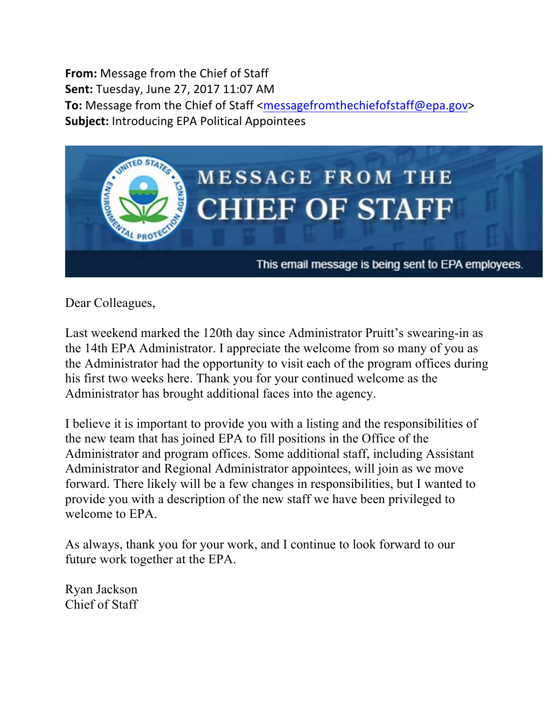**From:** Message from the Chief of Staff **Sent:** Tuesday, June 27, 2017 11:07 AM **To:** Message from the Chief of Staff <messagefromthechiefofstaff@epa.gov> **Subject:** Introducing EPA Political Appointees



Dear Colleagues,

Last weekend marked the 120th day since Administrator Pruitt's swearing-in as the 14th EPA Administrator. I appreciate the welcome from so many of you as the Administrator had the opportunity to visit each of the program offices during his first two weeks here. Thank you for your continued welcome as the Administrator has brought additional faces into the agency.

I believe it is important to provide you with a listing and the responsibilities of the new team that has joined EPA to fill positions in the Office of the Administrator and program offices. Some additional staff, including Assistant Administrator and Regional Administrator appointees, will join as we move forward. There likely will be a few changes in responsibilities, but I wanted to provide you with a description of the new staff we have been privileged to welcome to EPA

As always, thank you for your work, and I continue to look forward to our future work together at the EPA.

Ryan Jackson Chief of Staff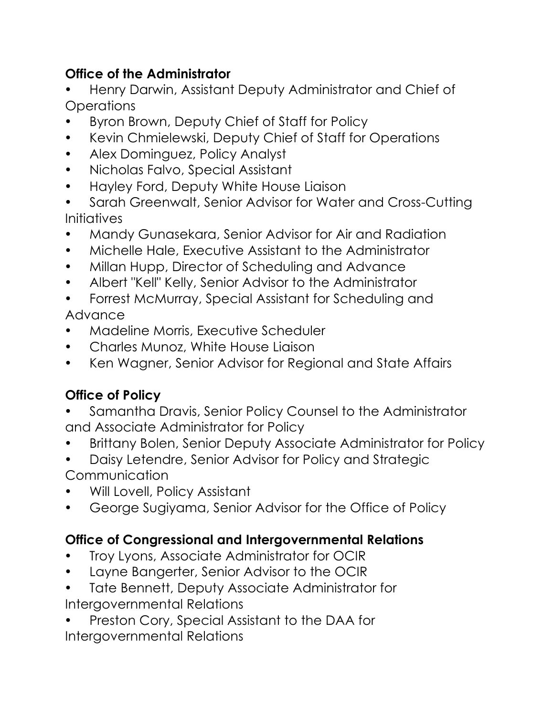### **Office of the Administrator**

- Henry Darwin, Assistant Deputy Administrator and Chief of **Operations**
- Byron Brown, Deputy Chief of Staff for Policy
- Kevin Chmielewski, Deputy Chief of Staff for Operations
- Alex Dominguez, Policy Analyst
- Nicholas Falvo, Special Assistant
- Hayley Ford, Deputy White House Liaison
- Sarah Greenwalt, Senior Advisor for Water and Cross-Cutting **Initiatives**
- Mandy Gunasekara, Senior Advisor for Air and Radiation
- Michelle Hale, Executive Assistant to the Administrator
- Millan Hupp, Director of Scheduling and Advance
- Albert "Kell" Kelly, Senior Advisor to the Administrator
- Forrest McMurray, Special Assistant for Scheduling and Advance
- Madeline Morris, Executive Scheduler
- Charles Munoz, White House Liaison
- Ken Wagner, Senior Advisor for Regional and State Affairs

# **Office of Policy**

- Samantha Dravis, Senior Policy Counsel to the Administrator and Associate Administrator for Policy
- Brittany Bolen, Senior Deputy Associate Administrator for Policy
- Daisy Letendre, Senior Advisor for Policy and Strategic Communication
- Will Lovell, Policy Assistant
- George Sugiyama, Senior Advisor for the Office of Policy

# **Office of Congressional and Intergovernmental Relations**

- Troy Lyons, Associate Administrator for OCIR
- Layne Bangerter, Senior Advisor to the OCIR
- Tate Bennett, Deputy Associate Administrator for Intergovernmental Relations
- Preston Cory, Special Assistant to the DAA for Intergovernmental Relations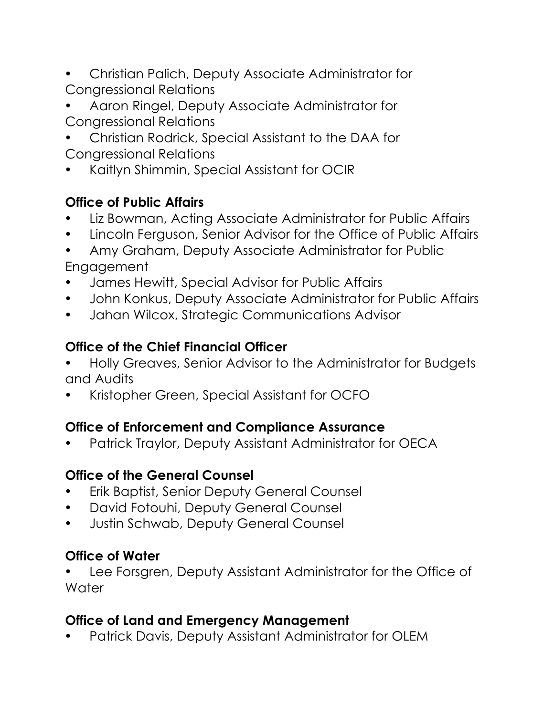- Christian Palich, Deputy Associate Administrator for Congressional Relations
- Aaron Ringel, Deputy Associate Administrator for Congressional Relations
- Christian Rodrick, Special Assistant to the DAA for Congressional Relations
- Kaitlyn Shimmin, Special Assistant for OCIR

### **Office of Public Affairs**

- Liz Bowman, Acting Associate Administrator for Public Affairs
- Lincoln Ferguson, Senior Advisor for the Office of Public Affairs
- Amy Graham, Deputy Associate Administrator for Public Engagement
- James Hewitt, Special Advisor for Public Affairs
- John Konkus, Deputy Associate Administrator for Public Affairs
- Jahan Wilcox, Strategic Communications Advisor

### **Office of the Chief Financial Officer**

- Holly Greaves, Senior Advisor to the Administrator for Budgets and Audits
- Kristopher Green, Special Assistant for OCFO

# **Office of Enforcement and Compliance Assurance**

• Patrick Traylor, Deputy Assistant Administrator for OECA

### **Office of the General Counsel**

- Erik Baptist, Senior Deputy General Counsel
- David Fotouhi, Deputy General Counsel
- Justin Schwab, Deputy General Counsel

# **Office of Water**

• Lee Forsgren, Deputy Assistant Administrator for the Office of **Water** 

# **Office of Land and Emergency Management**

• Patrick Davis, Deputy Assistant Administrator for OLEM